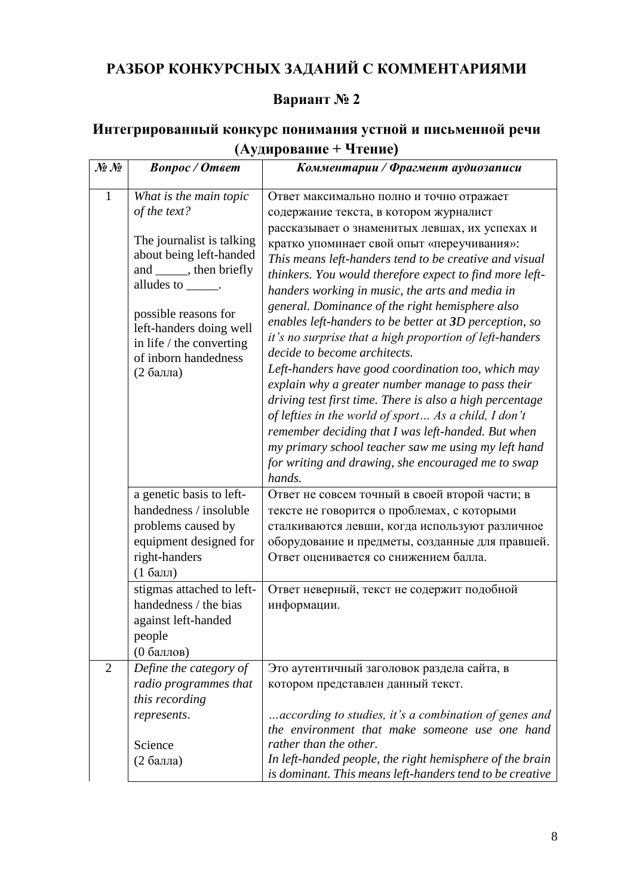# **РАЗБОР КОНКУРСНЫХ ЗАДАНИЙ С КОММЕНТАРИЯМИ**

## **Вариант № 2**

## **Интегрированный конкурс понимания устной и письменной речи (Аудирование + Чтение)**

| $\mathcal{N}\!\!\mathit{\underline{o}}\ \mathcal{N}\!\!\mathit{\underline{o}}$ | <b>Bonpoc</b> / Omeem                                                                                                                                                                                                                                                  | Комментарии / Фрагмент аудиозаписи                                                                                                                                                                                                                                                                                                                                                                                                                                                                                                                                                                                                                                                                                                                                                                                                                                                                                                                                             |
|--------------------------------------------------------------------------------|------------------------------------------------------------------------------------------------------------------------------------------------------------------------------------------------------------------------------------------------------------------------|--------------------------------------------------------------------------------------------------------------------------------------------------------------------------------------------------------------------------------------------------------------------------------------------------------------------------------------------------------------------------------------------------------------------------------------------------------------------------------------------------------------------------------------------------------------------------------------------------------------------------------------------------------------------------------------------------------------------------------------------------------------------------------------------------------------------------------------------------------------------------------------------------------------------------------------------------------------------------------|
| $\mathbf{1}$                                                                   | What is the main topic<br>of the text?<br>The journalist is talking<br>about being left-handed<br>and ______, then briefly<br>alludes to ______.<br>possible reasons for<br>left-handers doing well<br>in life $/$ the converting<br>of inborn handedness<br>(2 балла) | Ответ максимально полно и точно отражает<br>содержание текста, в котором журналист<br>рассказывает о знаменитых левшах, их успехах и<br>кратко упоминает свой опыт «переучивания»:<br>This means left-handers tend to be creative and visual<br>thinkers. You would therefore expect to find more left-<br>handers working in music, the arts and media in<br>general. Dominance of the right hemisphere also<br>enables left-handers to be better at 3D perception, so<br>it's no surprise that a high proportion of left-handers<br>decide to become architects.<br>Left-handers have good coordination too, which may<br>explain why a greater number manage to pass their<br>driving test first time. There is also a high percentage<br>of lefties in the world of sport As a child, I don't<br>remember deciding that I was left-handed. But when<br>my primary school teacher saw me using my left hand<br>for writing and drawing, she encouraged me to swap<br>hands. |
|                                                                                | a genetic basis to left-<br>handedness / insoluble<br>problems caused by<br>equipment designed for<br>right-handers<br>$(16a$ лл)<br>stigmas attached to left-                                                                                                         | Ответ не совсем точный в своей второй части; в<br>тексте не говорится о проблемах, с которыми<br>сталкиваются левши, когда используют различное<br>оборудование и предметы, созданные для правшей.<br>Ответ оценивается со снижением балла.<br>Ответ неверный, текст не содержит подобной                                                                                                                                                                                                                                                                                                                                                                                                                                                                                                                                                                                                                                                                                      |
|                                                                                | handedness / the bias<br>against left-handed<br>people<br>(0 баллов)                                                                                                                                                                                                   | информации.                                                                                                                                                                                                                                                                                                                                                                                                                                                                                                                                                                                                                                                                                                                                                                                                                                                                                                                                                                    |
| $\overline{2}$                                                                 | Define the category of<br>radio programmes that<br>this recording<br>represents.<br>Science<br>(2 балла)                                                                                                                                                               | Это аутентичный заголовок раздела сайта, в<br>котором представлен данный текст.<br>according to studies, it's a combination of genes and<br>the environment that make someone use one hand<br>rather than the other.<br>In left-handed people, the right hemisphere of the brain                                                                                                                                                                                                                                                                                                                                                                                                                                                                                                                                                                                                                                                                                               |
|                                                                                |                                                                                                                                                                                                                                                                        | is dominant. This means left-handers tend to be creative                                                                                                                                                                                                                                                                                                                                                                                                                                                                                                                                                                                                                                                                                                                                                                                                                                                                                                                       |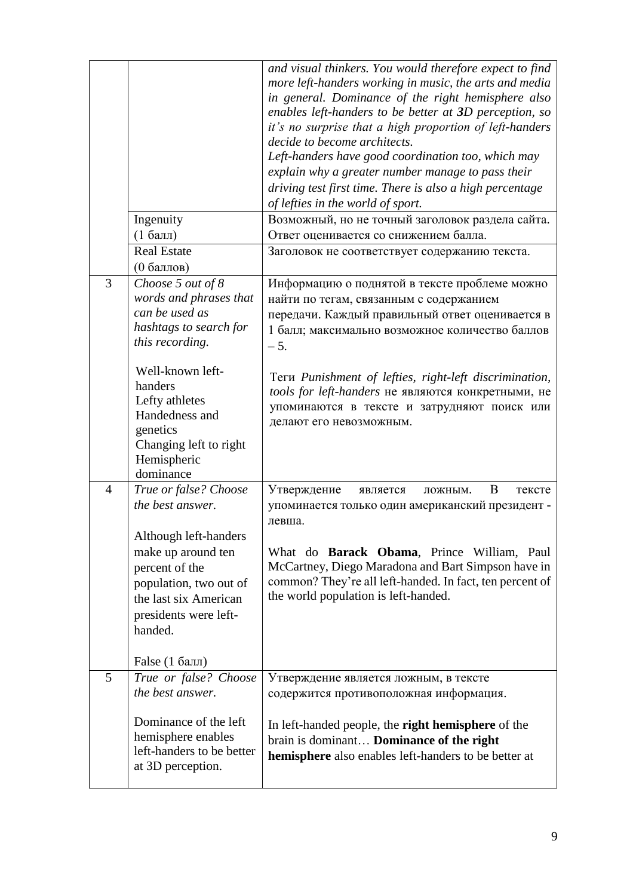|                | Ingenuity<br>$(16a$ лл)<br><b>Real Estate</b>                                                                                                                                                                                                                 | and visual thinkers. You would therefore expect to find<br>more left-handers working in music, the arts and media<br>in general. Dominance of the right hemisphere also<br>enables left-handers to be better at 3D perception, so<br>it's no surprise that a high proportion of left-handers<br>decide to become architects.<br>Left-handers have good coordination too, which may<br>explain why a greater number manage to pass their<br>driving test first time. There is also a high percentage<br>of lefties in the world of sport.<br>Возможный, но не точный заголовок раздела сайта.<br>Ответ оценивается со снижением балла.<br>Заголовок не соответствует содержанию текста. |
|----------------|---------------------------------------------------------------------------------------------------------------------------------------------------------------------------------------------------------------------------------------------------------------|----------------------------------------------------------------------------------------------------------------------------------------------------------------------------------------------------------------------------------------------------------------------------------------------------------------------------------------------------------------------------------------------------------------------------------------------------------------------------------------------------------------------------------------------------------------------------------------------------------------------------------------------------------------------------------------|
| 3              | (0 баллов)<br>Choose 5 out of 8<br>words and phrases that<br>can be used as<br>hashtags to search for<br>this recording.<br>Well-known left-<br>handers<br>Lefty athletes<br>Handedness and<br>genetics<br>Changing left to right<br>Hemispheric<br>dominance | Информацию о поднятой в тексте проблеме можно<br>найти по тегам, связанным с содержанием<br>передачи. Каждый правильный ответ оценивается в<br>1 балл; максимально возможное количество баллов<br>$-5.$<br>Теги Punishment of lefties, right-left discrimination,<br>tools for left-handers не являются конкретными, не<br>упоминаются в тексте и затрудняют поиск или<br>делают его невозможным.                                                                                                                                                                                                                                                                                      |
| $\overline{4}$ | True or false? Choose<br>the best answer.<br>Although left-handers<br>make up around ten<br>percent of the<br>population, two out of<br>the last six American<br>presidents were left-<br>handed.<br>False (1 балл)                                           | Утверждение<br>B<br>является<br>ложным.<br>тексте<br>упоминается только один американский президент -<br>левша.<br>What do <b>Barack Obama</b> , Prince William, Paul<br>McCartney, Diego Maradona and Bart Simpson have in<br>common? They're all left-handed. In fact, ten percent of<br>the world population is left-handed.                                                                                                                                                                                                                                                                                                                                                        |
| 5              | True or false? Choose<br>the best answer.<br>Dominance of the left<br>hemisphere enables<br>left-handers to be better<br>at 3D perception.                                                                                                                    | Утверждение является ложным, в тексте<br>содержится противоположная информация.<br>In left-handed people, the right hemisphere of the<br>brain is dominant Dominance of the right<br><b>hemisphere</b> also enables left-handers to be better at                                                                                                                                                                                                                                                                                                                                                                                                                                       |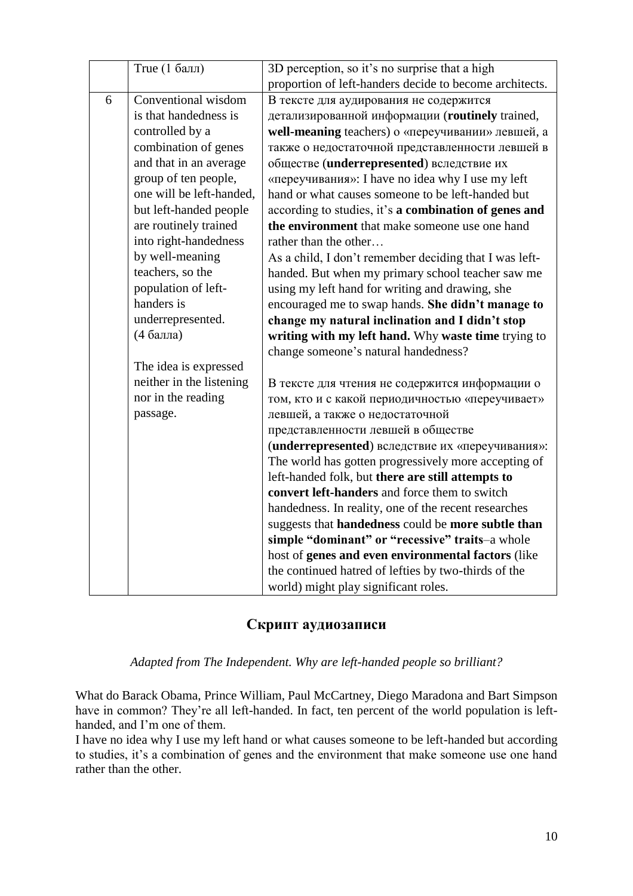|   | True (1 балл)            | 3D perception, so it's no surprise that a high          |
|---|--------------------------|---------------------------------------------------------|
|   |                          | proportion of left-handers decide to become architects. |
| 6 | Conventional wisdom      | В тексте для аудирования не содержится                  |
|   | is that handedness is    | детализированной информации (routinely trained,         |
|   | controlled by a          | well-meaning teachers) о «переучивании» левшей, а       |
|   | combination of genes     | также о недостаточной представленности левшей в         |
|   | and that in an average   | обществе (underrepresented) вследствие их               |
|   | group of ten people,     | «переучивания»: I have no idea why I use my left        |
|   | one will be left-handed, | hand or what causes someone to be left-handed but       |
|   | but left-handed people   | according to studies, it's a combination of genes and   |
|   | are routinely trained    | the environment that make someone use one hand          |
|   | into right-handedness    | rather than the other                                   |
|   | by well-meaning          | As a child, I don't remember deciding that I was left-  |
|   | teachers, so the         | handed. But when my primary school teacher saw me       |
|   | population of left-      | using my left hand for writing and drawing, she         |
|   | handers is               | encouraged me to swap hands. She didn't manage to       |
|   | underrepresented.        | change my natural inclination and I didn't stop         |
|   | (4 балла)                | writing with my left hand. Why waste time trying to     |
|   |                          | change someone's natural handedness?                    |
|   | The idea is expressed    |                                                         |
|   | neither in the listening | В тексте для чтения не содержится информации о          |
|   | nor in the reading       | том, кто и с какой периодичностью «переучивает»         |
|   | passage.                 | левшей, а также о недостаточной                         |
|   |                          | представленности левшей в обществе                      |
|   |                          | (underrepresented) вследствие их «переучивания»:        |
|   |                          | The world has gotten progressively more accepting of    |
|   |                          | left-handed folk, but there are still attempts to       |
|   |                          | convert left-handers and force them to switch           |
|   |                          | handedness. In reality, one of the recent researches    |
|   |                          | suggests that handedness could be more subtle than      |
|   |                          | simple "dominant" or "recessive" traits-a whole         |
|   |                          | host of genes and even environmental factors (like      |
|   |                          | the continued hatred of lefties by two-thirds of the    |
|   |                          | world) might play significant roles.                    |

### **Скрипт аудиозаписи**

*Adapted from The Independent. Why are left-handed people so brilliant?*

What do Barack Obama, Prince William, Paul McCartney, Diego Maradona and Bart Simpson have in common? They're all left-handed. In fact, ten percent of the world population is lefthanded, and I'm one of them.

I have no idea why I use my left hand or what causes someone to be left-handed but according to studies, it's a combination of genes and the environment that make someone use one hand rather than the other.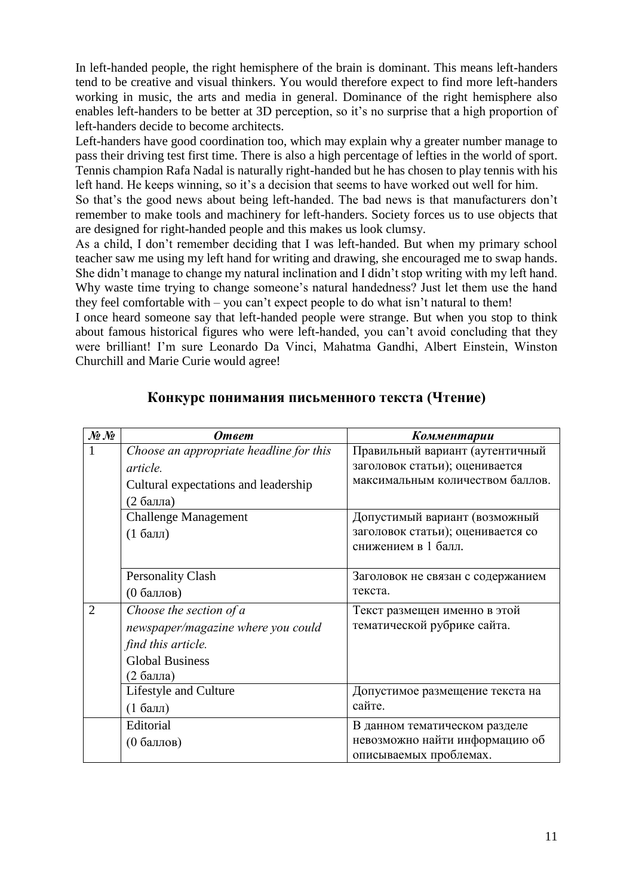In left-handed people, the right hemisphere of the brain is dominant. This means left-handers tend to be creative and visual thinkers. You would therefore expect to find more left-handers working in music, the arts and media in general. Dominance of the right hemisphere also enables left-handers to be better at 3D perception, so it's no surprise that a high proportion of left-handers decide to become architects.

Left-handers have good coordination too, which may explain why a greater number manage to pass their driving test first time. There is also a high percentage of lefties in the world of sport. Tennis champion Rafa Nadal is naturally right-handed but he has chosen to play tennis with his left hand. He keeps winning, so it's a decision that seems to have worked out well for him.

So that's the good news about being left-handed. The bad news is that manufacturers don't remember to make tools and machinery for left-handers. Society forces us to use objects that are designed for right-handed people and this makes us look clumsy.

As a child, I don't remember deciding that I was left-handed. But when my primary school teacher saw me using my left hand for writing and drawing, she encouraged me to swap hands. She didn't manage to change my natural inclination and I didn't stop writing with my left hand. Why waste time trying to change someone's natural handedness? Just let them use the hand they feel comfortable with – you can't expect people to do what isn't natural to them!

I once heard someone say that left-handed people were strange. But when you stop to think about famous historical figures who were left-handed, you can't avoid concluding that they were brilliant! I'm sure Leonardo Da Vinci, Mahatma Gandhi, Albert Einstein, Winston Churchill and Marie Curie would agree!

| $\mathcal{N}\!\!\mathit{\underline{o}}\;\mathcal{N}\!\!\mathit{\underline{o}}$ | <b>Ответ</b>                            | Комментарии                       |
|--------------------------------------------------------------------------------|-----------------------------------------|-----------------------------------|
|                                                                                | Choose an appropriate headline for this | Правильный вариант (аутентичный   |
|                                                                                | article.                                | заголовок статьи); оценивается    |
|                                                                                | Cultural expectations and leadership    | максимальным количеством баллов.  |
|                                                                                | (2 балла)                               |                                   |
|                                                                                | <b>Challenge Management</b>             | Допустимый вариант (возможный     |
|                                                                                | $(1)$ балл                              | заголовок статьи); оценивается со |
|                                                                                |                                         | снижением в 1 балл.               |
|                                                                                |                                         |                                   |
|                                                                                | <b>Personality Clash</b>                | Заголовок не связан с содержанием |
|                                                                                | (0 баллов)                              | текста.                           |
| $\mathcal{D}_{\mathcal{L}}$                                                    | Choose the section of a                 | Текст размещен именно в этой      |
|                                                                                | newspaper/magazine where you could      | тематической рубрике сайта.       |
|                                                                                | find this article.                      |                                   |
|                                                                                | <b>Global Business</b>                  |                                   |
|                                                                                | (2 балла)                               |                                   |
|                                                                                | Lifestyle and Culture                   | Допустимое размещение текста на   |
|                                                                                | $(1)$ балл                              | сайте.                            |
|                                                                                | Editorial                               | В данном тематическом разделе     |
|                                                                                | (0 баллов)                              | невозможно найти информацию об    |
|                                                                                |                                         | описываемых проблемах.            |

#### **Конкурс понимания письменного текста (Чтение)**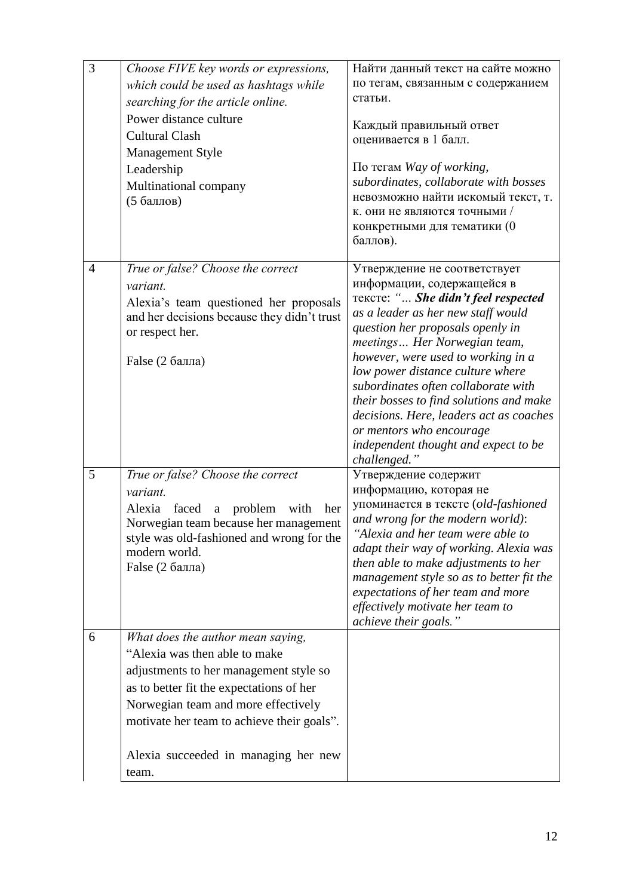| 3 | Choose FIVE key words or expressions,<br>which could be used as hashtags while<br>searching for the article online.<br>Power distance culture<br><b>Cultural Clash</b><br><b>Management Style</b><br>Leadership<br>Multinational company<br>(5 баллов)                                         | Найти данный текст на сайте можно<br>по тегам, связанным с содержанием<br>статьи.<br>Каждый правильный ответ<br>оценивается в 1 балл.<br>По тегам Way of working,<br>subordinates, collaborate with bosses<br>невозможно найти искомый текст, т.<br>к. они не являются точными /<br>конкретными для тематики (0<br>баллов).                                                                                                                                                                            |
|---|------------------------------------------------------------------------------------------------------------------------------------------------------------------------------------------------------------------------------------------------------------------------------------------------|--------------------------------------------------------------------------------------------------------------------------------------------------------------------------------------------------------------------------------------------------------------------------------------------------------------------------------------------------------------------------------------------------------------------------------------------------------------------------------------------------------|
| 4 | True or false? Choose the correct<br>variant.<br>Alexia's team questioned her proposals<br>and her decisions because they didn't trust<br>or respect her.<br>False (2 балла)                                                                                                                   | Утверждение не соответствует<br>информации, содержащейся в<br>Tekcre: " She didn't feel respected<br>as a leader as her new staff would<br>question her proposals openly in<br>meetings Her Norwegian team,<br>however, were used to working in a<br>low power distance culture where<br>subordinates often collaborate with<br>their bosses to find solutions and make<br>decisions. Here, leaders act as coaches<br>or mentors who encourage<br>independent thought and expect to be<br>challenged." |
| 5 | True or false? Choose the correct<br>variant.<br>Alexia<br>faced<br>problem<br>with<br>$\mathbf{a}$<br>her<br>Norwegian team because her management<br>style was old-fashioned and wrong for the<br>modern world.<br>False (2 балла)                                                           | Утверждение содержит<br>информацию, которая не<br>упоминается в тексте (old-fashioned<br>and wrong for the modern world):<br>"Alexia and her team were able to<br>adapt their way of working. Alexia was<br>then able to make adjustments to her<br>management style so as to better fit the<br>expectations of her team and more<br>effectively motivate her team to<br>achieve their goals."                                                                                                         |
| 6 | What does the author mean saying,<br>"Alexia was then able to make<br>adjustments to her management style so<br>as to better fit the expectations of her<br>Norwegian team and more effectively<br>motivate her team to achieve their goals".<br>Alexia succeeded in managing her new<br>team. |                                                                                                                                                                                                                                                                                                                                                                                                                                                                                                        |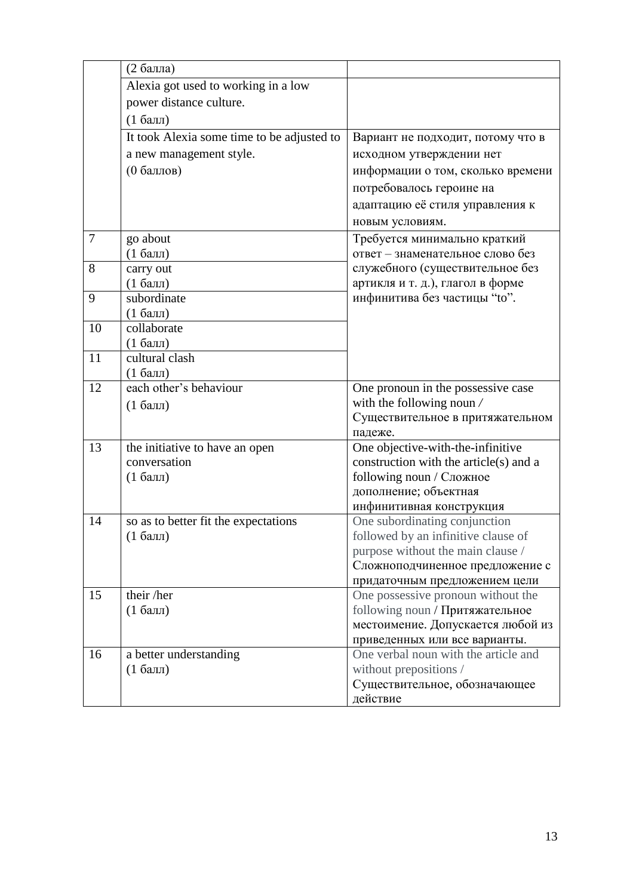|    | (2 балла)                                  |                                                                      |
|----|--------------------------------------------|----------------------------------------------------------------------|
|    | Alexia got used to working in a low        |                                                                      |
|    | power distance culture.                    |                                                                      |
|    | $(16a$ лл)                                 |                                                                      |
|    | It took Alexia some time to be adjusted to | Вариант не подходит, потому что в                                    |
|    | a new management style.                    | исходном утверждении нет                                             |
|    | (0 баллов)                                 | информации о том, сколько времени                                    |
|    |                                            | потребовалось героине на                                             |
|    |                                            | адаптацию её стиля управления к                                      |
|    |                                            | новым условиям.                                                      |
| 7  | go about                                   | Требуется минимально краткий                                         |
|    | $(16a$ лл                                  | ответ - знаменательное слово без                                     |
| 8  | carry out                                  | служебного (существительное без                                      |
|    | $(16a$ лл)                                 | артикля и т. д.), глагол в форме                                     |
| 9  | subordinate                                | инфинитива без частицы "to".                                         |
|    | $(16a$ лл                                  |                                                                      |
| 10 | collaborate                                |                                                                      |
|    | $(16a$ лл)                                 |                                                                      |
| 11 | cultural clash                             |                                                                      |
|    | $(1)$ балл)                                |                                                                      |
| 12 | each other's behaviour                     | One pronoun in the possessive case                                   |
|    | $(16a$ лл                                  | with the following noun /                                            |
|    |                                            | Существительное в притяжательном<br>падеже.                          |
| 13 | the initiative to have an open             | One objective-with-the-infinitive                                    |
|    | conversation                               | construction with the article(s) and a                               |
|    | $(16a$ лл                                  | following noun / Сложное                                             |
|    |                                            | дополнение; объектная                                                |
|    |                                            | инфинитивная конструкция                                             |
| 14 | so as to better fit the expectations       | One subordinating conjunction                                        |
|    | $(16a$ лл)                                 | followed by an infinitive clause of                                  |
|    |                                            | purpose without the main clause /                                    |
|    |                                            | Сложноподчиненное предложение с                                      |
|    |                                            | придаточным предложением цели                                        |
| 15 | their /her                                 | One possessive pronoun without the                                   |
|    | $(16a$ лл)                                 | following noun / Притяжательное<br>местоимение. Допускается любой из |
|    |                                            | приведенных или все варианты.                                        |
| 16 | a better understanding                     | One verbal noun with the article and                                 |
|    | $(16a$ лл)                                 | without prepositions /                                               |
|    |                                            |                                                                      |
|    |                                            | Существительное, обозначающее                                        |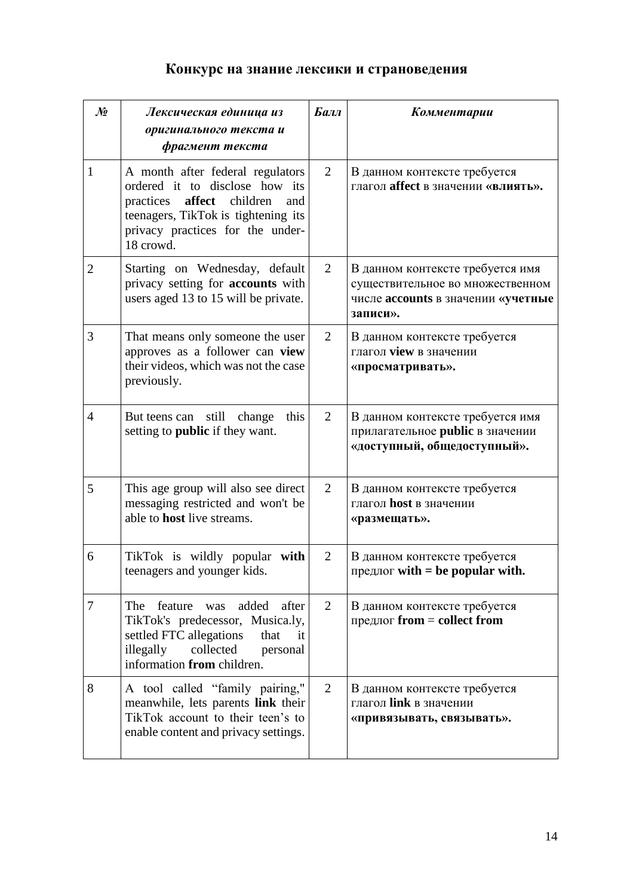## **Конкурс на знание лексики и страноведения**

| No             | Лексическая единица из<br>оригинального текста и<br>фрагмент текста                                                                                                                                  | Балл | Комментарии                                                                                                            |
|----------------|------------------------------------------------------------------------------------------------------------------------------------------------------------------------------------------------------|------|------------------------------------------------------------------------------------------------------------------------|
| 1              | A month after federal regulators<br>ordered it to disclose how its<br>practices<br>affect<br>children<br>and<br>teenagers, TikTok is tightening its<br>privacy practices for the under-<br>18 crowd. | 2    | В данном контексте требуется<br>глагол affect в значении «влиять».                                                     |
| $\overline{2}$ | Starting on Wednesday, default<br>privacy setting for accounts with<br>users aged 13 to 15 will be private.                                                                                          | 2    | В данном контексте требуется имя<br>существительное во множественном<br>числе accounts в значении «учетные<br>записи». |
| 3              | That means only someone the user<br>approves as a follower can view<br>their videos, which was not the case<br>previously.                                                                           | 2    | В данном контексте требуется<br>глагол <b>view</b> в значении<br>«просматривать».                                      |
| $\overline{4}$ | still change<br>But teens can<br>this<br>setting to <b>public</b> if they want.                                                                                                                      | 2    | В данном контексте требуется имя<br>прилагательное public в значении<br>«доступный, общедоступный».                    |
| 5              | This age group will also see direct<br>messaging restricted and won't be<br>able to <b>host</b> live streams.                                                                                        | 2    | В данном контексте требуется<br>глагол <b>host</b> в значении<br>«размещать».                                          |
| 6              | TikTok is wildly popular with<br>teenagers and younger kids.                                                                                                                                         | 2    | В данном контексте требуется<br>предлог with $=$ be popular with.                                                      |
| 7              | added<br>after<br>feature<br>The<br>was<br>TikTok's predecessor, Musica.ly,<br>settled FTC allegations<br>that<br>it<br>collected<br>illegally<br>personal<br>information from children.             | 2    | В данном контексте требуется<br>предлог $from = collect from$                                                          |
| 8              | A tool called "family pairing,"<br>meanwhile, lets parents link their<br>TikTok account to their teen's to<br>enable content and privacy settings.                                                   | 2    | В данном контексте требуется<br>глагол link в значении<br>«привязывать, связывать».                                    |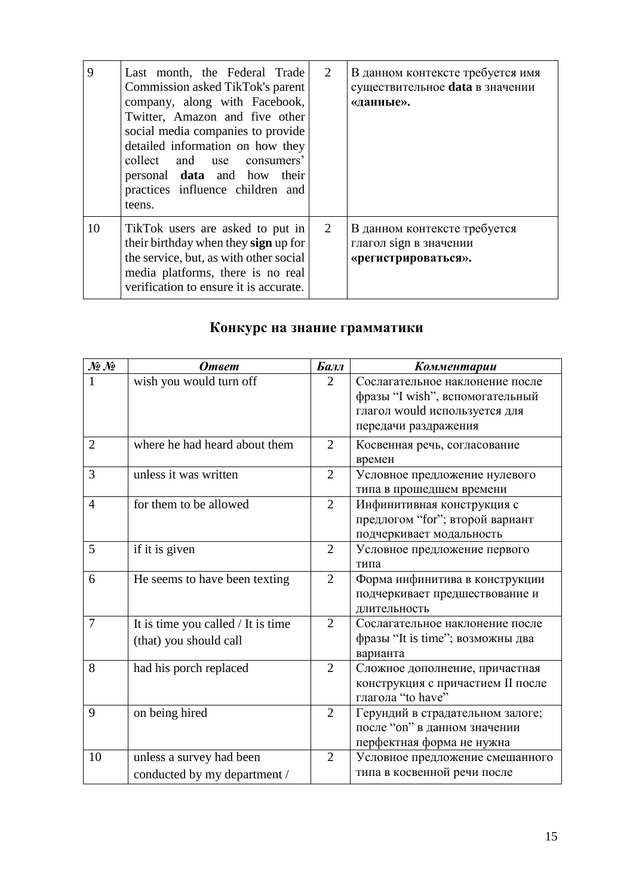| 9  | Last month, the Federal Trade<br>Commission asked TikTok's parent<br>company, along with Facebook,<br>Twitter, Amazon and five other<br>social media companies to provide<br>detailed information on how they<br>collect and use consumers'<br>personal <b>data</b> and how their<br>practices influence children and<br>teens. | 2 | В данном контексте требуется имя<br>существительное data в значении<br>«данные». |
|----|---------------------------------------------------------------------------------------------------------------------------------------------------------------------------------------------------------------------------------------------------------------------------------------------------------------------------------|---|----------------------------------------------------------------------------------|
| 10 | TikTok users are asked to put in<br>their birthday when they sign up for<br>the service, but, as with other social<br>media platforms, there is no real<br>verification to ensure it is accurate.                                                                                                                               | 2 | В данном контексте требуется<br>глагол sign в значении<br>«регистрироваться».    |

# **Конкурс на знание грамматики**

| $\mathcal{N}\!\!\mathit{\underline{\mathit{0}}}$ $\mathcal{N}\!\!\mathit{\underline{\mathit{0}}}$ | <b>Ответ</b>                                                 | Балл           | Комментарии                                                                                                                 |
|---------------------------------------------------------------------------------------------------|--------------------------------------------------------------|----------------|-----------------------------------------------------------------------------------------------------------------------------|
|                                                                                                   | wish you would turn off                                      | $\overline{2}$ | Сослагательное наклонение после<br>фразы "I wish", вспомогательный<br>глагол would используется для<br>передачи раздражения |
| $\overline{2}$                                                                                    | where he had heard about them                                | $\overline{2}$ | Косвенная речь, согласование<br>времен                                                                                      |
| 3                                                                                                 | unless it was written                                        | $\overline{2}$ | Условное предложение нулевого<br>типа в прошедшем времени                                                                   |
| $\overline{4}$                                                                                    | for them to be allowed                                       | $\overline{2}$ | Инфинитивная конструкция с<br>предлогом "for"; второй вариант<br>подчеркивает модальность                                   |
| 5                                                                                                 | if it is given                                               | $\overline{2}$ | Условное предложение первого<br>типа                                                                                        |
| 6                                                                                                 | He seems to have been texting                                | $\overline{2}$ | Форма инфинитива в конструкции<br>подчеркивает предшествование и<br>длительность                                            |
| $\overline{7}$                                                                                    | It is time you called / It is time<br>(that) you should call | 2              | Сослагательное наклонение после<br>фразы "It is time"; возможны два<br>варианта                                             |
| 8                                                                                                 | had his porch replaced                                       | $\overline{2}$ | Сложное дополнение, причастная<br>конструкция с причастием II после<br>глагола "to have"                                    |
| 9                                                                                                 | on being hired                                               | $\overline{2}$ | Герундий в страдательном залоге;<br>после "on" в данном значении<br>перфектная форма не нужна                               |
| 10                                                                                                | unless a survey had been<br>conducted by my department /     | $\overline{2}$ | Условное предложение смешанного<br>типа в косвенной речи после                                                              |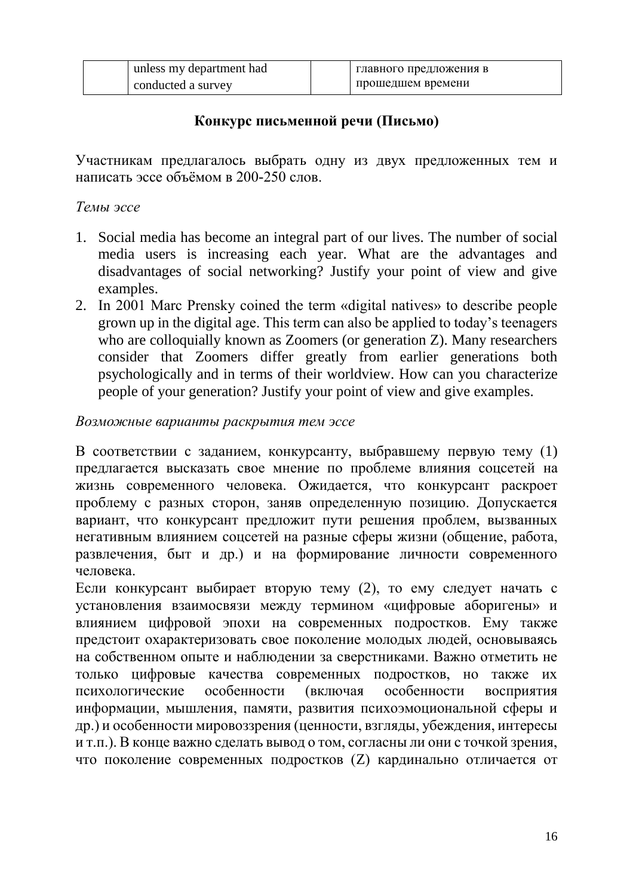| unless my department had | главного предложения в |
|--------------------------|------------------------|
| conducted a survey       | прошедшем времени      |

### **Конкурс письменной речи (Письмо)**

Участникам предлагалось выбрать одну из двух предложенных тем и написать эссе объёмом в 200-250 слов.

### *Темы эссе*

- 1. Social media has become an integral part of our lives. The number of social media users is increasing each year. What are the advantages and disadvantages of social networking? Justify your point of view and give examples.
- 2. In 2001 Marc Prensky coined the term «digital natives» to describe people grown up in the digital age. This term can also be applied to today's teenagers who are colloquially known as Zoomers (or generation Z). Many researchers consider that Zoomers differ greatly from earlier generations both psychologically and in terms of their worldview. How can you characterize people of your generation? Justify your point of view and give examples.

### *Возможные варианты раскрытия тем эссе*

В соответствии с заданием, конкурсанту, выбравшему первую тему (1) предлагается высказать свое мнение по проблеме влияния соцсетей на жизнь современного человека. Ожидается, что конкурсант раскроет проблему с разных сторон, заняв определенную позицию. Допускается вариант, что конкурсант предложит пути решения проблем, вызванных негативным влиянием соцсетей на разные сферы жизни (общение, работа, развлечения, быт и др.) и на формирование личности современного человека.

Если конкурсант выбирает вторую тему (2), то ему следует начать с установления взаимосвязи между термином «цифровые аборигены» и влиянием цифровой эпохи на современных подростков. Ему также предстоит охарактеризовать свое поколение молодых людей, основываясь на собственном опыте и наблюдении за сверстниками. Важно отметить не только цифровые качества современных подростков, но также их психологические особенности (включая особенности восприятия информации, мышления, памяти, развития психоэмоциональной сферы и др.) и особенности мировоззрения (ценности, взгляды, убеждения, интересы и т.п.). В конце важно сделать вывод о том, согласны ли они с точкой зрения, что поколение современных подростков (Z) кардинально отличается от